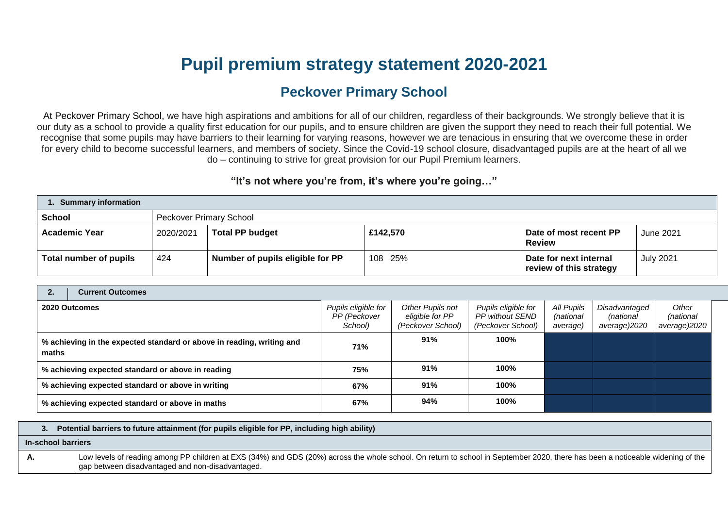# **Pupil premium strategy statement 2020-2021**

# **Peckover Primary School**

At Peckover Primary School, we have high aspirations and ambitions for all of our children, regardless of their backgrounds. We strongly believe that it is our duty as a school to provide a quality first education for our pupils, and to ensure children are given the support they need to reach their full potential. We recognise that some pupils may have barriers to their learning for varying reasons, however we are tenacious in ensuring that we overcome these in order for every child to become successful learners, and members of society. Since the Covid-19 school closure, disadvantaged pupils are at the heart of all we do – continuing to strive for great provision for our Pupil Premium learners.

## **"It's not where you're from, it's where you're going…"**

| <b>Summary information</b> |           |                                  |          |                                                   |                  |  |  |
|----------------------------|-----------|----------------------------------|----------|---------------------------------------------------|------------------|--|--|
| <b>School</b>              |           | <b>Peckover Primary School</b>   |          |                                                   |                  |  |  |
| <b>Academic Year</b>       | 2020/2021 | <b>Total PP budget</b>           | £142,570 | Date of most recent PP<br><b>Review</b>           | June 2021        |  |  |
| Total number of pupils     | 424       | Number of pupils eligible for PP | 108 25%  | Date for next internal<br>review of this strategy | <b>July 2021</b> |  |  |

| 2.                                                | <b>Current Outcomes</b>                                               |                                                |                                                          |                                                             |                                     |                                            |                                    |
|---------------------------------------------------|-----------------------------------------------------------------------|------------------------------------------------|----------------------------------------------------------|-------------------------------------------------------------|-------------------------------------|--------------------------------------------|------------------------------------|
| 2020 Outcomes                                     |                                                                       | Pupils eligible for<br>PP (Peckover<br>School) | Other Pupils not<br>eligible for PP<br>(Peckover School) | Pupils eligible for<br>PP without SEND<br>(Peckover School) | All Pupils<br>(national<br>average) | Disadvantaged<br>(national<br>average)2020 | Other<br>(national<br>average)2020 |
| maths                                             | % achieving in the expected standard or above in reading, writing and | 71%                                            | 91%                                                      | 100%                                                        |                                     |                                            |                                    |
| % achieving expected standard or above in reading |                                                                       | 75%                                            | 91%                                                      | 100%                                                        |                                     |                                            |                                    |
| % achieving expected standard or above in writing |                                                                       | 67%                                            | 91%                                                      | 100%                                                        |                                     |                                            |                                    |
|                                                   | % achieving expected standard or above in maths                       | 67%                                            | 94%                                                      | 100%                                                        |                                     |                                            |                                    |

### **3. Potential barriers to future attainment (for pupils eligible for PP, including high ability)**

#### **In-school barriers**

**A.** Low levels of reading among PP children at EXS (34%) and GDS (20%) across the whole school. On return to school in September 2020, there has been a noticeable widening of the gap between disadvantaged and non-disadvantaged.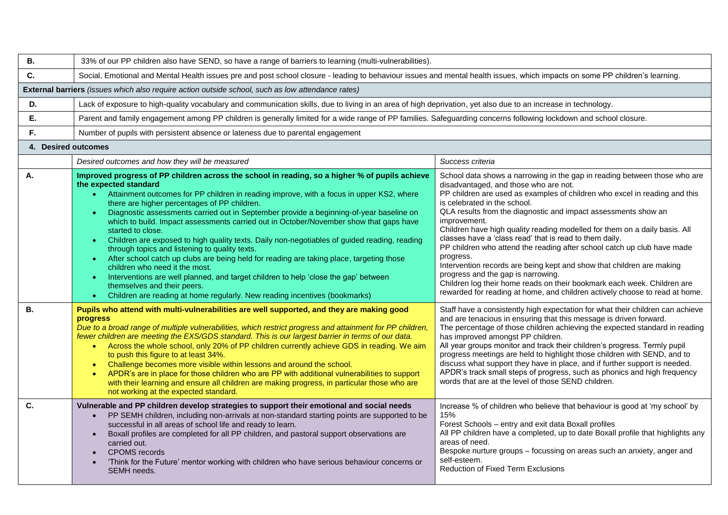| В.                  | 33% of our PP children also have SEND, so have a range of barriers to learning (multi-vulnerabilities).                                                                                                                                                                                                                                                                                                                                                                                                                                                                                                                                                                                                                                                                                                                                                                                                                                                                                           |                                                                                                                                                                                                                                                                                                                                                                                                                                                                                                                                                                                                                                                                                                                                                                                                                              |  |  |  |  |  |
|---------------------|---------------------------------------------------------------------------------------------------------------------------------------------------------------------------------------------------------------------------------------------------------------------------------------------------------------------------------------------------------------------------------------------------------------------------------------------------------------------------------------------------------------------------------------------------------------------------------------------------------------------------------------------------------------------------------------------------------------------------------------------------------------------------------------------------------------------------------------------------------------------------------------------------------------------------------------------------------------------------------------------------|------------------------------------------------------------------------------------------------------------------------------------------------------------------------------------------------------------------------------------------------------------------------------------------------------------------------------------------------------------------------------------------------------------------------------------------------------------------------------------------------------------------------------------------------------------------------------------------------------------------------------------------------------------------------------------------------------------------------------------------------------------------------------------------------------------------------------|--|--|--|--|--|
| C.                  | Social, Emotional and Mental Health issues pre and post school closure - leading to behaviour issues and mental health issues, which impacts on some PP children's learning.                                                                                                                                                                                                                                                                                                                                                                                                                                                                                                                                                                                                                                                                                                                                                                                                                      |                                                                                                                                                                                                                                                                                                                                                                                                                                                                                                                                                                                                                                                                                                                                                                                                                              |  |  |  |  |  |
|                     | External barriers (issues which also require action outside school, such as low attendance rates)                                                                                                                                                                                                                                                                                                                                                                                                                                                                                                                                                                                                                                                                                                                                                                                                                                                                                                 |                                                                                                                                                                                                                                                                                                                                                                                                                                                                                                                                                                                                                                                                                                                                                                                                                              |  |  |  |  |  |
| D.                  | Lack of exposure to high-quality vocabulary and communication skills, due to living in an area of high deprivation, yet also due to an increase in technology.                                                                                                                                                                                                                                                                                                                                                                                                                                                                                                                                                                                                                                                                                                                                                                                                                                    |                                                                                                                                                                                                                                                                                                                                                                                                                                                                                                                                                                                                                                                                                                                                                                                                                              |  |  |  |  |  |
| Е.                  | Parent and family engagement among PP children is generally limited for a wide range of PP families. Safeguarding concerns following lockdown and school closure.                                                                                                                                                                                                                                                                                                                                                                                                                                                                                                                                                                                                                                                                                                                                                                                                                                 |                                                                                                                                                                                                                                                                                                                                                                                                                                                                                                                                                                                                                                                                                                                                                                                                                              |  |  |  |  |  |
| F.                  | Number of pupils with persistent absence or lateness due to parental engagement                                                                                                                                                                                                                                                                                                                                                                                                                                                                                                                                                                                                                                                                                                                                                                                                                                                                                                                   |                                                                                                                                                                                                                                                                                                                                                                                                                                                                                                                                                                                                                                                                                                                                                                                                                              |  |  |  |  |  |
| 4. Desired outcomes |                                                                                                                                                                                                                                                                                                                                                                                                                                                                                                                                                                                                                                                                                                                                                                                                                                                                                                                                                                                                   |                                                                                                                                                                                                                                                                                                                                                                                                                                                                                                                                                                                                                                                                                                                                                                                                                              |  |  |  |  |  |
|                     | Desired outcomes and how they will be measured                                                                                                                                                                                                                                                                                                                                                                                                                                                                                                                                                                                                                                                                                                                                                                                                                                                                                                                                                    | Success criteria                                                                                                                                                                                                                                                                                                                                                                                                                                                                                                                                                                                                                                                                                                                                                                                                             |  |  |  |  |  |
| Α.                  | Improved progress of PP children across the school in reading, so a higher % of pupils achieve<br>the expected standard<br>• Attainment outcomes for PP children in reading improve, with a focus in upper KS2, where<br>there are higher percentages of PP children.<br>Diagnostic assessments carried out in September provide a beginning-of-year baseline on<br>which to build. Impact assessments carried out in October/November show that gaps have<br>started to close.<br>Children are exposed to high quality texts. Daily non-negotiables of guided reading, reading<br>$\bullet$ .<br>through topics and listening to quality texts.<br>After school catch up clubs are being held for reading are taking place, targeting those<br>children who need it the most.<br>Interventions are well planned, and target children to help 'close the gap' between<br>themselves and their peers.<br>Children are reading at home regularly. New reading incentives (bookmarks)<br>$\bullet$ . | School data shows a narrowing in the gap in reading between those who are<br>disadvantaged, and those who are not.<br>PP children are used as examples of children who excel in reading and this<br>is celebrated in the school.<br>QLA results from the diagnostic and impact assessments show an<br>improvement.<br>Children have high quality reading modelled for them on a daily basis. All<br>classes have a 'class read' that is read to them daily.<br>PP children who attend the reading after school catch up club have made<br>progress.<br>Intervention records are being kept and show that children are making<br>progress and the gap is narrowing.<br>Children log their home reads on their bookmark each week. Children are<br>rewarded for reading at home, and children actively choose to read at home. |  |  |  |  |  |
| <b>B.</b>           | Pupils who attend with multi-vulnerabilities are well supported, and they are making good<br><b>progress</b><br>Due to a broad range of multiple vulnerabilities, which restrict progress and attainment for PP children,<br>fewer children are meeting the EXS/GDS standard. This is our largest barrier in terms of our data.<br>• Across the whole school, only 20% of PP children currently achieve GDS in reading. We aim<br>to push this figure to at least 34%.<br>Challenge becomes more visible within lessons and around the school.<br>$\bullet$<br>APDR's are in place for those children who are PP with additional vulnerabilities to support<br>$\bullet$<br>with their learning and ensure all children are making progress, in particular those who are<br>not working at the expected standard.                                                                                                                                                                                 | Staff have a consistently high expectation for what their children can achieve<br>and are tenacious in ensuring that this message is driven forward.<br>The percentage of those children achieving the expected standard in reading<br>has improved amongst PP children.<br>All year groups monitor and track their children's progress. Termly pupil<br>progress meetings are held to highlight those children with SEND, and to<br>discuss what support they have in place, and if further support is needed.<br>APDR's track small steps of progress, such as phonics and high frequency<br>words that are at the level of those SEND children.                                                                                                                                                                           |  |  |  |  |  |
| C.                  | Vulnerable and PP children develop strategies to support their emotional and social needs<br>PP SEMH children, including non-arrivals at non-standard starting points are supported to be<br>$\bullet$<br>successful in all areas of school life and ready to learn.<br>Boxall profiles are completed for all PP children, and pastoral support observations are<br>$\bullet$<br>carried out.<br><b>CPOMS</b> records<br>'Think for the Future' mentor working with children who have serious behaviour concerns or<br><b>SEMH</b> needs.                                                                                                                                                                                                                                                                                                                                                                                                                                                         | Increase % of children who believe that behaviour is good at 'my school' by<br>15%<br>Forest Schools - entry and exit data Boxall profiles<br>All PP children have a completed, up to date Boxall profile that highlights any<br>areas of need.<br>Bespoke nurture groups - focussing on areas such an anxiety, anger and<br>self-esteem.<br><b>Reduction of Fixed Term Exclusions</b>                                                                                                                                                                                                                                                                                                                                                                                                                                       |  |  |  |  |  |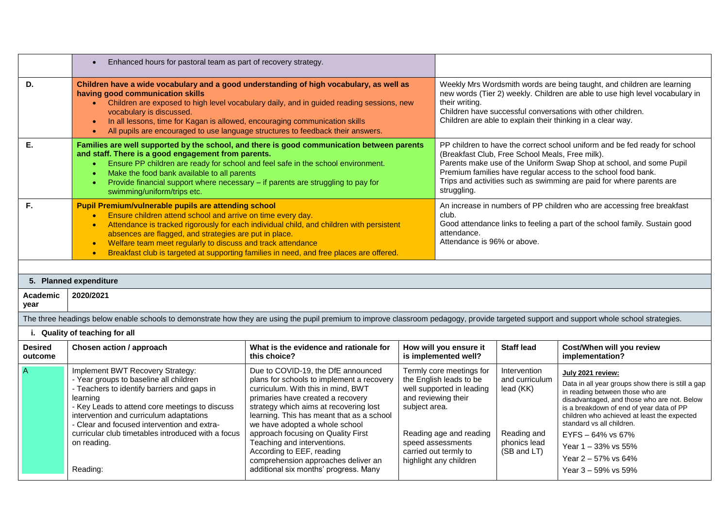|                                                                                                                                                                                                                                                                                                                                                                                                                            | Enhanced hours for pastoral team as part of recovery strategy.<br>$\bullet$                                                                                                                                                                                                                                                                                                                                                                                                |                                                                                                                                                                                                                                                                                                                                                                                                                              |                                                                                                                                                                                                                             |                      |                                                                                                                                                                                                                                                                                      |                                                                                                                                                                                                                                                                                                                                                      |  |
|----------------------------------------------------------------------------------------------------------------------------------------------------------------------------------------------------------------------------------------------------------------------------------------------------------------------------------------------------------------------------------------------------------------------------|----------------------------------------------------------------------------------------------------------------------------------------------------------------------------------------------------------------------------------------------------------------------------------------------------------------------------------------------------------------------------------------------------------------------------------------------------------------------------|------------------------------------------------------------------------------------------------------------------------------------------------------------------------------------------------------------------------------------------------------------------------------------------------------------------------------------------------------------------------------------------------------------------------------|-----------------------------------------------------------------------------------------------------------------------------------------------------------------------------------------------------------------------------|----------------------|--------------------------------------------------------------------------------------------------------------------------------------------------------------------------------------------------------------------------------------------------------------------------------------|------------------------------------------------------------------------------------------------------------------------------------------------------------------------------------------------------------------------------------------------------------------------------------------------------------------------------------------------------|--|
| D.                                                                                                                                                                                                                                                                                                                                                                                                                         | Children have a wide vocabulary and a good understanding of high vocabulary, as well as<br>having good communication skills<br>Children are exposed to high level vocabulary daily, and in guided reading sessions, new<br>$\bullet$<br>vocabulary is discussed.<br>In all lessons, time for Kagan is allowed, encouraging communication skills<br>$\bullet$<br>All pupils are encouraged to use language structures to feedback their answers.<br>$\bullet$               |                                                                                                                                                                                                                                                                                                                                                                                                                              |                                                                                                                                                                                                                             | their writing.       | Weekly Mrs Wordsmith words are being taught, and children are learning<br>new words (Tier 2) weekly. Children are able to use high level vocabulary in<br>Children have successful conversations with other children.<br>Children are able to explain their thinking in a clear way. |                                                                                                                                                                                                                                                                                                                                                      |  |
| Е.<br>Families are well supported by the school, and there is good communication between parents<br>and staff. There is a good engagement from parents.<br>Ensure PP children are ready for school and feel safe in the school environment.<br>$\bullet$<br>Make the food bank available to all parents<br>Provide financial support where necessary - if parents are struggling to pay for<br>swimming/uniform/trips etc. |                                                                                                                                                                                                                                                                                                                                                                                                                                                                            |                                                                                                                                                                                                                                                                                                                                                                                                                              |                                                                                                                                                                                                                             | struggling.          |                                                                                                                                                                                                                                                                                      | PP children to have the correct school uniform and be fed ready for school<br>(Breakfast Club, Free School Meals, Free milk).<br>Parents make use of the Uniform Swap Shop at school, and some Pupil<br>Premium families have regular access to the school food bank.<br>Trips and activities such as swimming are paid for where parents are        |  |
| F.                                                                                                                                                                                                                                                                                                                                                                                                                         | Pupil Premium/vulnerable pupils are attending school<br>Ensure children attend school and arrive on time every day.<br>Attendance is tracked rigorously for each individual child, and children with persistent<br>$\bullet$<br>absences are flagged, and strategies are put in place.<br>Welfare team meet regularly to discuss and track attendance<br>$\bullet$<br>Breakfast club is targeted at supporting families in need, and free places are offered.<br>$\bullet$ |                                                                                                                                                                                                                                                                                                                                                                                                                              |                                                                                                                                                                                                                             | club.<br>attendance. | An increase in numbers of PP children who are accessing free breakfast<br>Good attendance links to feeling a part of the school family. Sustain good<br>Attendance is 96% or above.                                                                                                  |                                                                                                                                                                                                                                                                                                                                                      |  |
|                                                                                                                                                                                                                                                                                                                                                                                                                            |                                                                                                                                                                                                                                                                                                                                                                                                                                                                            |                                                                                                                                                                                                                                                                                                                                                                                                                              |                                                                                                                                                                                                                             |                      |                                                                                                                                                                                                                                                                                      |                                                                                                                                                                                                                                                                                                                                                      |  |
|                                                                                                                                                                                                                                                                                                                                                                                                                            | 5. Planned expenditure                                                                                                                                                                                                                                                                                                                                                                                                                                                     |                                                                                                                                                                                                                                                                                                                                                                                                                              |                                                                                                                                                                                                                             |                      |                                                                                                                                                                                                                                                                                      |                                                                                                                                                                                                                                                                                                                                                      |  |
| Academic<br>year                                                                                                                                                                                                                                                                                                                                                                                                           | 2020/2021                                                                                                                                                                                                                                                                                                                                                                                                                                                                  |                                                                                                                                                                                                                                                                                                                                                                                                                              |                                                                                                                                                                                                                             |                      |                                                                                                                                                                                                                                                                                      |                                                                                                                                                                                                                                                                                                                                                      |  |
|                                                                                                                                                                                                                                                                                                                                                                                                                            | The three headings below enable schools to demonstrate how they are using the pupil premium to improve classroom pedagogy, provide targeted support and support whole school strategies.                                                                                                                                                                                                                                                                                   |                                                                                                                                                                                                                                                                                                                                                                                                                              |                                                                                                                                                                                                                             |                      |                                                                                                                                                                                                                                                                                      |                                                                                                                                                                                                                                                                                                                                                      |  |
|                                                                                                                                                                                                                                                                                                                                                                                                                            | i. Quality of teaching for all                                                                                                                                                                                                                                                                                                                                                                                                                                             |                                                                                                                                                                                                                                                                                                                                                                                                                              |                                                                                                                                                                                                                             |                      |                                                                                                                                                                                                                                                                                      |                                                                                                                                                                                                                                                                                                                                                      |  |
| <b>Desired</b><br>outcome                                                                                                                                                                                                                                                                                                                                                                                                  | Chosen action / approach                                                                                                                                                                                                                                                                                                                                                                                                                                                   | What is the evidence and rationale for<br>this choice?                                                                                                                                                                                                                                                                                                                                                                       | How will you ensure it<br>is implemented well?                                                                                                                                                                              |                      | <b>Staff lead</b>                                                                                                                                                                                                                                                                    | Cost/When will you review<br>implementation?                                                                                                                                                                                                                                                                                                         |  |
| $\overline{A}$                                                                                                                                                                                                                                                                                                                                                                                                             | Implement BWT Recovery Strategy:<br>- Year groups to baseline all children<br>- Teachers to identify barriers and gaps in<br>learning<br>- Key Leads to attend core meetings to discuss<br>intervention and curriculum adaptations<br>- Clear and focused intervention and extra-<br>curricular club timetables introduced with a focus<br>on reading.                                                                                                                     | Due to COVID-19, the DfE announced<br>plans for schools to implement a recovery<br>curriculum. With this in mind, BWT<br>primaries have created a recovery<br>strategy which aims at recovering lost<br>learning. This has meant that as a school<br>we have adopted a whole school<br>approach focusing on Quality First<br>Teaching and interventions.<br>According to EEF, reading<br>comprehension approaches deliver an | Termly core meetings for<br>the English leads to be<br>well supported in leading<br>and reviewing their<br>subject area.<br>Reading age and reading<br>speed assessments<br>carried out termly to<br>highlight any children |                      | Intervention<br>and curriculum<br>lead (KK)<br>Reading and<br>phonics lead<br>(SB and LT)                                                                                                                                                                                            | July 2021 review:<br>Data in all year groups show there is still a gap<br>in reading between those who are<br>disadvantaged, and those who are not. Below<br>is a breakdown of end of year data of PP<br>children who achieved at least the expected<br>standard vs all children.<br>EYFS - 64% vs 67%<br>Year 1 - 33% vs 55%<br>Year 2 - 57% vs 64% |  |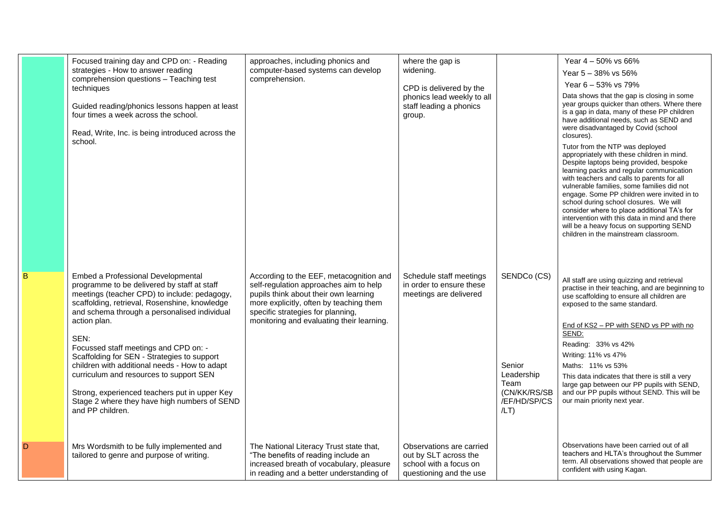| Focused training day and CPD on: - Reading<br>strategies - How to answer reading<br>comprehension questions - Teaching test<br>techniques<br>Guided reading/phonics lessons happen at least<br>four times a week across the school.<br>Read, Write, Inc. is being introduced across the<br>school.                                                                                                                                                                                                                                                                  | approaches, including phonics and<br>computer-based systems can develop<br>comprehension.                                                                                                                                                               | where the gap is<br>widening.<br>CPD is delivered by the<br>phonics lead weekly to all<br>staff leading a phonics<br>group. |                                                                                        | Year 4 - 50% vs 66%<br>Year 5 - 38% vs 56%<br>Year 6 - 53% vs 79%<br>Data shows that the gap is closing in some<br>year groups quicker than others. Where there<br>is a gap in data, many of these PP children<br>have additional needs, such as SEND and<br>were disadvantaged by Covid (school<br>closures).<br>Tutor from the NTP was deployed<br>appropriately with these children in mind.<br>Despite laptops being provided, bespoke<br>learning packs and regular communication<br>with teachers and calls to parents for all<br>vulnerable families, some families did not<br>engage. Some PP children were invited in to<br>school during school closures. We will<br>consider where to place additional TA's for<br>intervention with this data in mind and there<br>will be a heavy focus on supporting SEND<br>children in the mainstream classroom. |
|---------------------------------------------------------------------------------------------------------------------------------------------------------------------------------------------------------------------------------------------------------------------------------------------------------------------------------------------------------------------------------------------------------------------------------------------------------------------------------------------------------------------------------------------------------------------|---------------------------------------------------------------------------------------------------------------------------------------------------------------------------------------------------------------------------------------------------------|-----------------------------------------------------------------------------------------------------------------------------|----------------------------------------------------------------------------------------|------------------------------------------------------------------------------------------------------------------------------------------------------------------------------------------------------------------------------------------------------------------------------------------------------------------------------------------------------------------------------------------------------------------------------------------------------------------------------------------------------------------------------------------------------------------------------------------------------------------------------------------------------------------------------------------------------------------------------------------------------------------------------------------------------------------------------------------------------------------|
| Embed a Professional Developmental<br>programme to be delivered by staff at staff<br>meetings (teacher CPD) to include: pedagogy,<br>scaffolding, retrieval, Rosenshine, knowledge<br>and schema through a personalised individual<br>action plan.<br>SEN:<br>Focussed staff meetings and CPD on: -<br>Scaffolding for SEN - Strategies to support<br>children with additional needs - How to adapt<br>curriculum and resources to support SEN<br>Strong, experienced teachers put in upper Key<br>Stage 2 where they have high numbers of SEND<br>and PP children. | According to the EEF, metacognition and<br>self-regulation approaches aim to help<br>pupils think about their own learning<br>more explicitly, often by teaching them<br>specific strategies for planning,<br>monitoring and evaluating their learning. | Schedule staff meetings<br>in order to ensure these<br>meetings are delivered                                               | SENDCo (CS)<br>Senior<br>Leadership<br>Team<br>(CN/KK/RS/SB<br>/EF/HD/SP/CS<br>$/LT$ ) | All staff are using quizzing and retrieval<br>practise in their teaching, and are beginning to<br>use scaffolding to ensure all children are<br>exposed to the same standard.<br>End of KS2 - PP with SEND vs PP with no<br>SEND:<br>Reading: 33% vs 42%<br>Writing: 11% vs 47%<br>Maths: 11% vs 53%<br>This data indicates that there is still a very<br>large gap between our PP pupils with SEND,<br>and our PP pupils without SEND. This will be<br>our main priority next year.                                                                                                                                                                                                                                                                                                                                                                             |
| Mrs Wordsmith to be fully implemented and<br>tailored to genre and purpose of writing.                                                                                                                                                                                                                                                                                                                                                                                                                                                                              | The National Literacy Trust state that,<br>"The benefits of reading include an<br>increased breath of vocabulary, pleasure<br>in reading and a better understanding of                                                                                  | Observations are carried<br>out by SLT across the<br>school with a focus on<br>questioning and the use                      |                                                                                        | Observations have been carried out of all<br>teachers and HLTA's throughout the Summer<br>term. All observations showed that people are<br>confident with using Kagan.                                                                                                                                                                                                                                                                                                                                                                                                                                                                                                                                                                                                                                                                                           |

B

D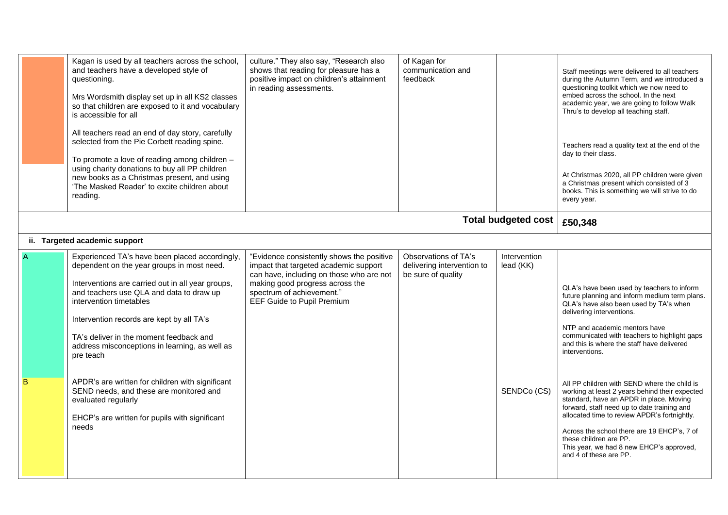|   | Kagan is used by all teachers across the school,<br>and teachers have a developed style of<br>questioning.<br>Mrs Wordsmith display set up in all KS2 classes<br>so that children are exposed to it and vocabulary<br>is accessible for all<br>All teachers read an end of day story, carefully<br>selected from the Pie Corbett reading spine.<br>To promote a love of reading among children -<br>using charity donations to buy all PP children<br>new books as a Christmas present, and using<br>'The Masked Reader' to excite children about<br>reading.    | culture." They also say, "Research also<br>shows that reading for pleasure has a<br>positive impact on children's attainment<br>in reading assessments.                                                                      | of Kagan for<br>communication and<br>feedback                            |                                          | Staff meetings were delivered to all teachers<br>during the Autumn Term, and we introduced a<br>questioning toolkit which we now need to<br>embed across the school. In the next<br>academic year, we are going to follow Walk<br>Thru's to develop all teaching staff.<br>Teachers read a quality text at the end of the<br>day to their class.<br>At Christmas 2020, all PP children were given<br>a Christmas present which consisted of 3<br>books. This is something we will strive to do<br>every year.                                                                                                                                                                                                  |
|---|------------------------------------------------------------------------------------------------------------------------------------------------------------------------------------------------------------------------------------------------------------------------------------------------------------------------------------------------------------------------------------------------------------------------------------------------------------------------------------------------------------------------------------------------------------------|------------------------------------------------------------------------------------------------------------------------------------------------------------------------------------------------------------------------------|--------------------------------------------------------------------------|------------------------------------------|----------------------------------------------------------------------------------------------------------------------------------------------------------------------------------------------------------------------------------------------------------------------------------------------------------------------------------------------------------------------------------------------------------------------------------------------------------------------------------------------------------------------------------------------------------------------------------------------------------------------------------------------------------------------------------------------------------------|
|   |                                                                                                                                                                                                                                                                                                                                                                                                                                                                                                                                                                  |                                                                                                                                                                                                                              |                                                                          | <b>Total budgeted cost</b>               | £50,348                                                                                                                                                                                                                                                                                                                                                                                                                                                                                                                                                                                                                                                                                                        |
|   | ii. Targeted academic support                                                                                                                                                                                                                                                                                                                                                                                                                                                                                                                                    |                                                                                                                                                                                                                              |                                                                          |                                          |                                                                                                                                                                                                                                                                                                                                                                                                                                                                                                                                                                                                                                                                                                                |
| B | Experienced TA's have been placed accordingly,<br>dependent on the year groups in most need.<br>Interventions are carried out in all year groups,<br>and teachers use QLA and data to draw up<br>intervention timetables<br>Intervention records are kept by all TA's<br>TA's deliver in the moment feedback and<br>address misconceptions in learning, as well as<br>pre teach<br>APDR's are written for children with significant<br>SEND needs, and these are monitored and<br>evaluated regularly<br>EHCP's are written for pupils with significant<br>needs | "Evidence consistently shows the positive<br>impact that targeted academic support<br>can have, including on those who are not<br>making good progress across the<br>spectrum of achievement."<br>EEF Guide to Pupil Premium | Observations of TA's<br>delivering intervention to<br>be sure of quality | Intervention<br>lead (KK)<br>SENDCo (CS) | QLA's have been used by teachers to inform<br>future planning and inform medium term plans.<br>QLA's have also been used by TA's when<br>delivering interventions.<br>NTP and academic mentors have<br>communicated with teachers to highlight gaps<br>and this is where the staff have delivered<br>interventions.<br>All PP children with SEND where the child is<br>working at least 2 years behind their expected<br>standard, have an APDR in place. Moving<br>forward, staff need up to date training and<br>allocated time to review APDR's fortnightly.<br>Across the school there are 19 EHCP's, 7 of<br>these children are PP.<br>This year, we had 8 new EHCP's approved,<br>and 4 of these are PP. |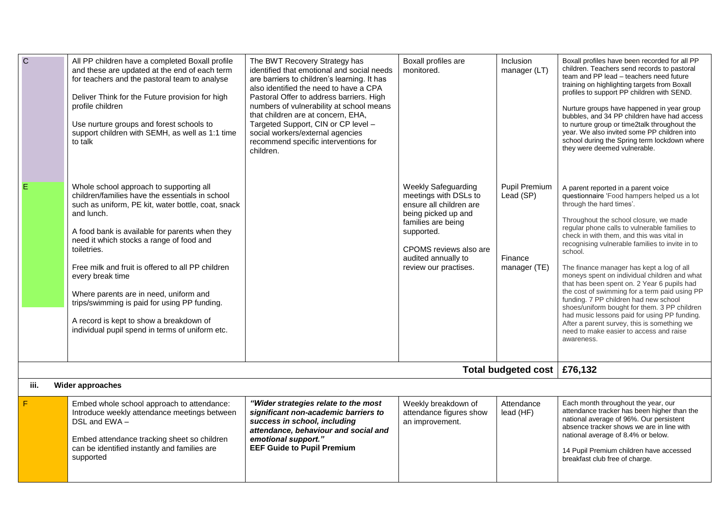| $\mathbf C$<br>E | All PP children have a completed Boxall profile<br>and these are updated at the end of each term<br>for teachers and the pastoral team to analyse<br>Deliver Think for the Future provision for high<br>profile children<br>Use nurture groups and forest schools to<br>support children with SEMH, as well as 1:1 time<br>to talk<br>Whole school approach to supporting all<br>children/families have the essentials in school<br>such as uniform, PE kit, water bottle, coat, snack<br>and lunch.<br>A food bank is available for parents when they<br>need it which stocks a range of food and<br>toiletries.<br>Free milk and fruit is offered to all PP children<br>every break time<br>Where parents are in need, uniform and<br>trips/swimming is paid for using PP funding.<br>A record is kept to show a breakdown of<br>individual pupil spend in terms of uniform etc. | The BWT Recovery Strategy has<br>identified that emotional and social needs<br>are barriers to children's learning. It has<br>also identified the need to have a CPA<br>Pastoral Offer to address barriers. High<br>numbers of vulnerability at school means<br>that children are at concern, EHA,<br>Targeted Support, CIN or CP level -<br>social workers/external agencies<br>recommend specific interventions for<br>children. | Boxall profiles are<br>monitored.<br><b>Weekly Safeguarding</b><br>meetings with DSLs to<br>ensure all children are<br>being picked up and<br>families are being<br>supported.<br>CPOMS reviews also are<br>audited annually to<br>review our practises. | Inclusion<br>manager (LT)<br>Pupil Premium<br>Lead (SP)<br>Finance<br>manager (TE) | Boxall profiles have been recorded for all PP<br>children. Teachers send records to pastoral<br>team and PP lead - teachers need future<br>training on highlighting targets from Boxall<br>profiles to support PP children with SEND.<br>Nurture groups have happened in year group<br>bubbles, and 34 PP children have had access<br>to nurture group or time2talk throughout the<br>year. We also invited some PP children into<br>school during the Spring term lockdown where<br>they were deemed vulnerable.<br>A parent reported in a parent voice<br>questionnaire 'Food hampers helped us a lot<br>through the hard times'.<br>Throughout the school closure, we made<br>regular phone calls to vulnerable families to<br>check in with them, and this was vital in<br>recognising vulnerable families to invite in to<br>school.<br>The finance manager has kept a log of all<br>moneys spent on individual children and what<br>that has been spent on. 2 Year 6 pupils had<br>the cost of swimming for a term paid using PP<br>funding. 7 PP children had new school<br>shoes/uniform bought for them. 3 PP children<br>had music lessons paid for using PP funding.<br>After a parent survey, this is something we<br>need to make easier to access and raise<br>awareness. |  |  |
|------------------|------------------------------------------------------------------------------------------------------------------------------------------------------------------------------------------------------------------------------------------------------------------------------------------------------------------------------------------------------------------------------------------------------------------------------------------------------------------------------------------------------------------------------------------------------------------------------------------------------------------------------------------------------------------------------------------------------------------------------------------------------------------------------------------------------------------------------------------------------------------------------------|------------------------------------------------------------------------------------------------------------------------------------------------------------------------------------------------------------------------------------------------------------------------------------------------------------------------------------------------------------------------------------------------------------------------------------|----------------------------------------------------------------------------------------------------------------------------------------------------------------------------------------------------------------------------------------------------------|------------------------------------------------------------------------------------|-----------------------------------------------------------------------------------------------------------------------------------------------------------------------------------------------------------------------------------------------------------------------------------------------------------------------------------------------------------------------------------------------------------------------------------------------------------------------------------------------------------------------------------------------------------------------------------------------------------------------------------------------------------------------------------------------------------------------------------------------------------------------------------------------------------------------------------------------------------------------------------------------------------------------------------------------------------------------------------------------------------------------------------------------------------------------------------------------------------------------------------------------------------------------------------------------------------------------------------------------------------------------------------------|--|--|
|                  |                                                                                                                                                                                                                                                                                                                                                                                                                                                                                                                                                                                                                                                                                                                                                                                                                                                                                    |                                                                                                                                                                                                                                                                                                                                                                                                                                    |                                                                                                                                                                                                                                                          | Total budgeted cost   £76,132                                                      |                                                                                                                                                                                                                                                                                                                                                                                                                                                                                                                                                                                                                                                                                                                                                                                                                                                                                                                                                                                                                                                                                                                                                                                                                                                                                         |  |  |
| iii.             | <b>Wider approaches</b>                                                                                                                                                                                                                                                                                                                                                                                                                                                                                                                                                                                                                                                                                                                                                                                                                                                            |                                                                                                                                                                                                                                                                                                                                                                                                                                    |                                                                                                                                                                                                                                                          |                                                                                    |                                                                                                                                                                                                                                                                                                                                                                                                                                                                                                                                                                                                                                                                                                                                                                                                                                                                                                                                                                                                                                                                                                                                                                                                                                                                                         |  |  |
| F                | Embed whole school approach to attendance:<br>Introduce weekly attendance meetings between<br>DSL and EWA-<br>Embed attendance tracking sheet so children<br>can be identified instantly and families are<br>supported                                                                                                                                                                                                                                                                                                                                                                                                                                                                                                                                                                                                                                                             | "Wider strategies relate to the most<br>significant non-academic barriers to<br>success in school, including<br>attendance, behaviour and social and<br>emotional support."<br><b>EEF Guide to Pupil Premium</b>                                                                                                                                                                                                                   | Weekly breakdown of<br>attendance figures show<br>an improvement.                                                                                                                                                                                        | Attendance<br>lead (HF)                                                            | Each month throughout the year, our<br>attendance tracker has been higher than the<br>national average of 96%. Our persistent<br>absence tracker shows we are in line with<br>national average of 8.4% or below.<br>14 Pupil Premium children have accessed<br>breakfast club free of charge.                                                                                                                                                                                                                                                                                                                                                                                                                                                                                                                                                                                                                                                                                                                                                                                                                                                                                                                                                                                           |  |  |